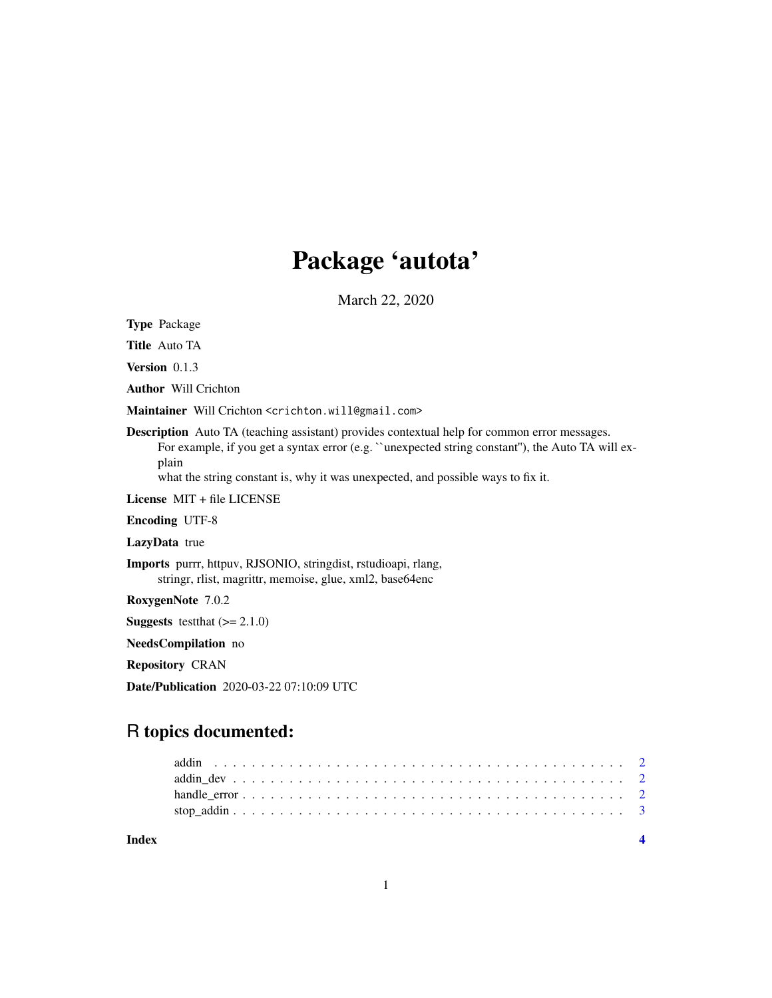## Package 'autota'

March 22, 2020

Type Package

Title Auto TA

Version 0.1.3

Author Will Crichton

Maintainer Will Crichton <crichton.will@gmail.com>

Description Auto TA (teaching assistant) provides contextual help for common error messages. For example, if you get a syntax error (e.g. ``unexpected string constant''), the Auto TA will explain

what the string constant is, why it was unexpected, and possible ways to fix it.

License MIT + file LICENSE

Encoding UTF-8

LazyData true

Imports purrr, httpuv, RJSONIO, stringdist, rstudioapi, rlang, stringr, rlist, magrittr, memoise, glue, xml2, base64enc

RoxygenNote 7.0.2

**Suggests** test that  $(>= 2.1.0)$ 

NeedsCompilation no

Repository CRAN

Date/Publication 2020-03-22 07:10:09 UTC

### R topics documented:

**Index** [4](#page-3-0)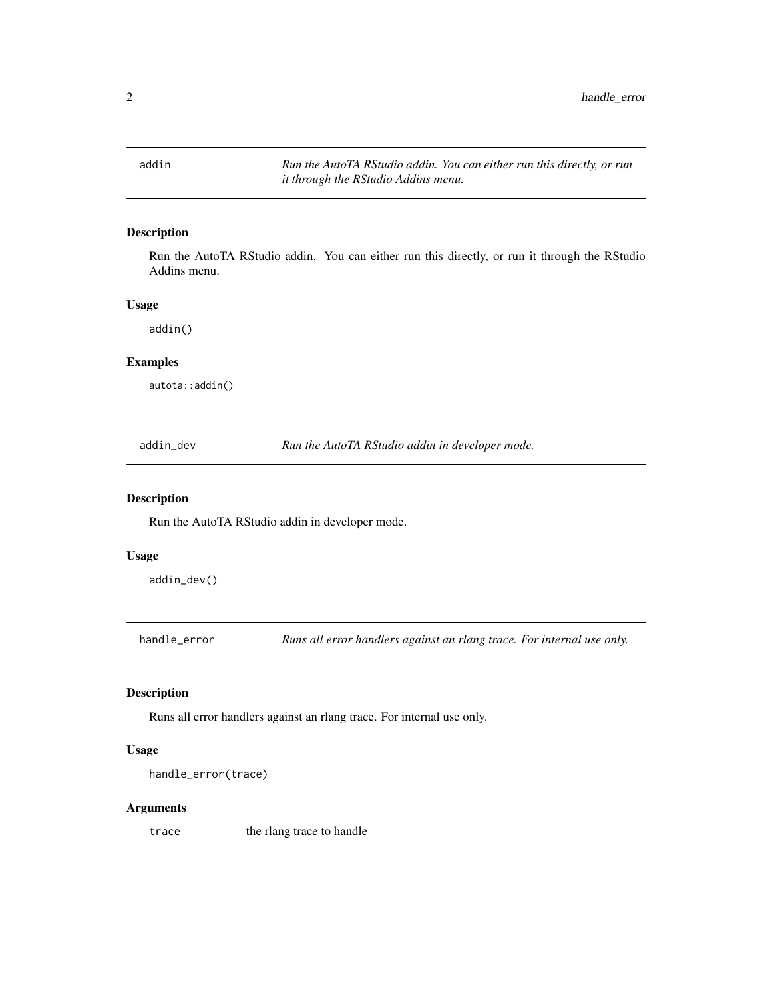<span id="page-1-0"></span>addin *Run the AutoTA RStudio addin. You can either run this directly, or run it through the RStudio Addins menu.*

#### Description

Run the AutoTA RStudio addin. You can either run this directly, or run it through the RStudio Addins menu.

#### Usage

addin()

#### Examples

autota::addin()

addin\_dev *Run the AutoTA RStudio addin in developer mode.*

#### Description

Run the AutoTA RStudio addin in developer mode.

#### Usage

addin\_dev()

handle\_error *Runs all error handlers against an rlang trace. For internal use only.*

#### Description

Runs all error handlers against an rlang trace. For internal use only.

#### Usage

```
handle_error(trace)
```
#### Arguments

trace the rlang trace to handle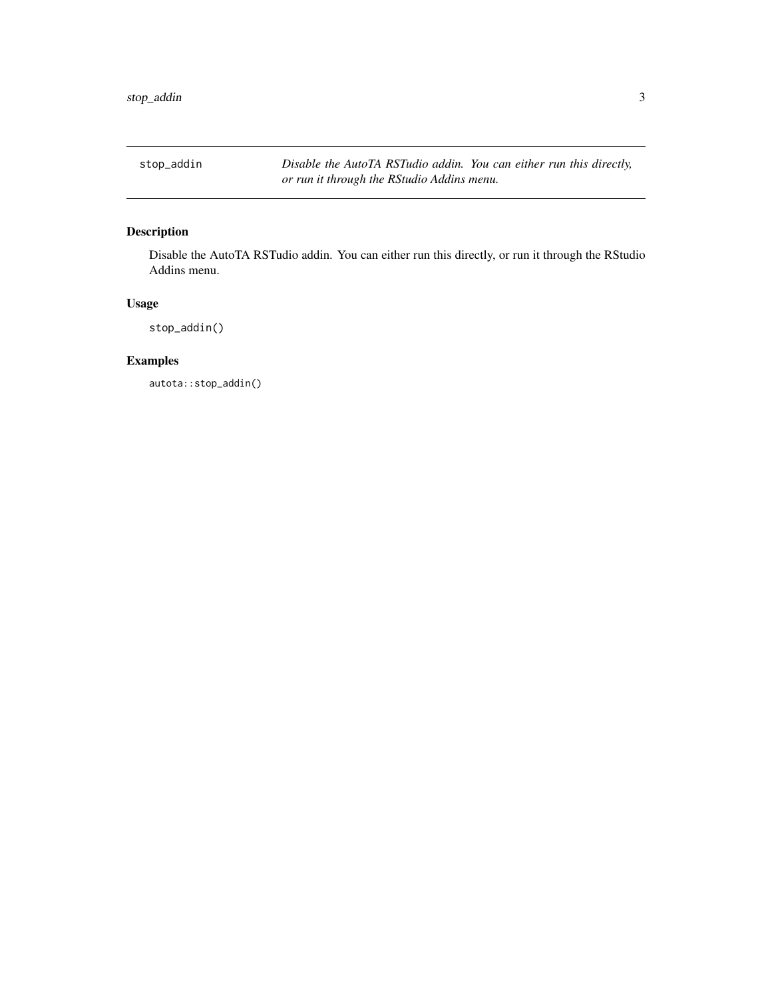<span id="page-2-0"></span>stop\_addin *Disable the AutoTA RSTudio addin. You can either run this directly, or run it through the RStudio Addins menu.*

#### Description

Disable the AutoTA RSTudio addin. You can either run this directly, or run it through the RStudio Addins menu.

#### Usage

stop\_addin()

#### Examples

autota::stop\_addin()